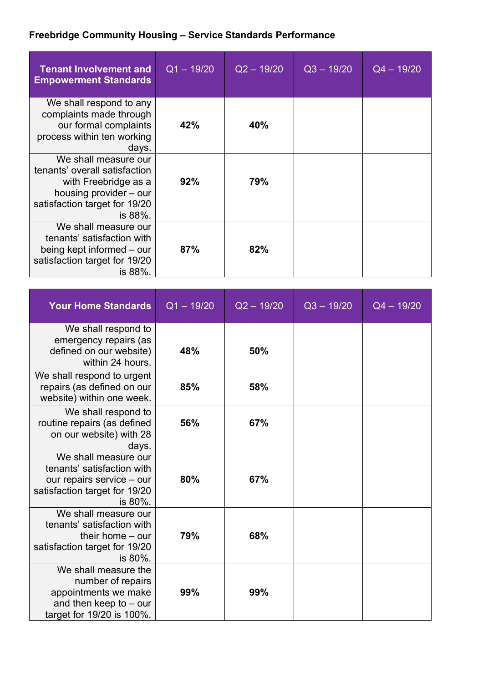## **Freebridge Community Housing – Service Standards Performance**

| <b>Tenant Involvement and</b><br><b>Empowerment Standards</b>                                                                                       | $Q1 - 19/20$ | $Q2 - 19/20$ | $Q3 - 19/20$ | $Q4 - 19/20$ |
|-----------------------------------------------------------------------------------------------------------------------------------------------------|--------------|--------------|--------------|--------------|
| We shall respond to any<br>complaints made through<br>our formal complaints<br>process within ten working<br>days.                                  | 42%          | 40%          |              |              |
| We shall measure our<br>tenants' overall satisfaction<br>with Freebridge as a<br>housing provider – our<br>satisfaction target for 19/20<br>is 88%. | 92%          | 79%          |              |              |
| We shall measure our<br>tenants' satisfaction with<br>being kept informed – our<br>satisfaction target for 19/20<br>is 88%.                         | 87%          | 82%          |              |              |

| <b>Your Home Standards</b>                                                                                                  | $Q1 - 19/20$ | $Q2 - 19/20$ | $Q3 - 19/20$ | $Q4 - 19/20$ |
|-----------------------------------------------------------------------------------------------------------------------------|--------------|--------------|--------------|--------------|
| We shall respond to<br>emergency repairs (as<br>defined on our website)<br>within 24 hours.                                 | 48%          | 50%          |              |              |
| We shall respond to urgent<br>repairs (as defined on our<br>website) within one week.                                       | 85%          | 58%          |              |              |
| We shall respond to<br>routine repairs (as defined<br>on our website) with 28<br>days.                                      | 56%          | 67%          |              |              |
| We shall measure our<br>tenants' satisfaction with<br>our repairs service - our<br>satisfaction target for 19/20<br>is 80%. | 80%          | 67%          |              |              |
| We shall measure our<br>tenants' satisfaction with<br>their home $-$ our<br>satisfaction target for 19/20<br>is 80%.        | 79%          | 68%          |              |              |
| We shall measure the<br>number of repairs<br>appointments we make<br>and then keep to $-$ our<br>target for 19/20 is 100%.  | 99%          | 99%          |              |              |